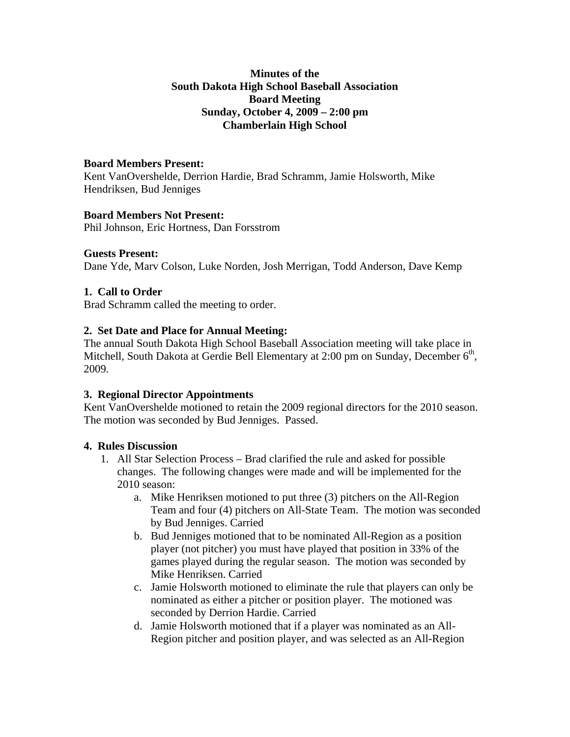## **Minutes of the South Dakota High School Baseball Association Board Meeting Sunday, October 4, 2009 – 2:00 pm Chamberlain High School**

# **Board Members Present:**

Kent VanOvershelde, Derrion Hardie, Brad Schramm, Jamie Holsworth, Mike Hendriksen, Bud Jenniges

### **Board Members Not Present:**

Phil Johnson, Eric Hortness, Dan Forsstrom

#### **Guests Present:**

Dane Yde, Marv Colson, Luke Norden, Josh Merrigan, Todd Anderson, Dave Kemp

### **1. Call to Order**

Brad Schramm called the meeting to order.

#### **2. Set Date and Place for Annual Meeting:**

The annual South Dakota High School Baseball Association meeting will take place in Mitchell, South Dakota at Gerdie Bell Elementary at 2:00 pm on Sunday, December  $6<sup>th</sup>$ , 2009.

### **3. Regional Director Appointments**

Kent VanOvershelde motioned to retain the 2009 regional directors for the 2010 season. The motion was seconded by Bud Jenniges. Passed.

### **4. Rules Discussion**

- 1. All Star Selection Process Brad clarified the rule and asked for possible changes. The following changes were made and will be implemented for the 2010 season:
	- a. Mike Henriksen motioned to put three (3) pitchers on the All-Region Team and four (4) pitchers on All-State Team. The motion was seconded by Bud Jenniges. Carried
	- b. Bud Jenniges motioned that to be nominated All-Region as a position player (not pitcher) you must have played that position in 33% of the games played during the regular season. The motion was seconded by Mike Henriksen. Carried
	- c. Jamie Holsworth motioned to eliminate the rule that players can only be nominated as either a pitcher or position player. The motioned was seconded by Derrion Hardie. Carried
	- d. Jamie Holsworth motioned that if a player was nominated as an All-Region pitcher and position player, and was selected as an All-Region